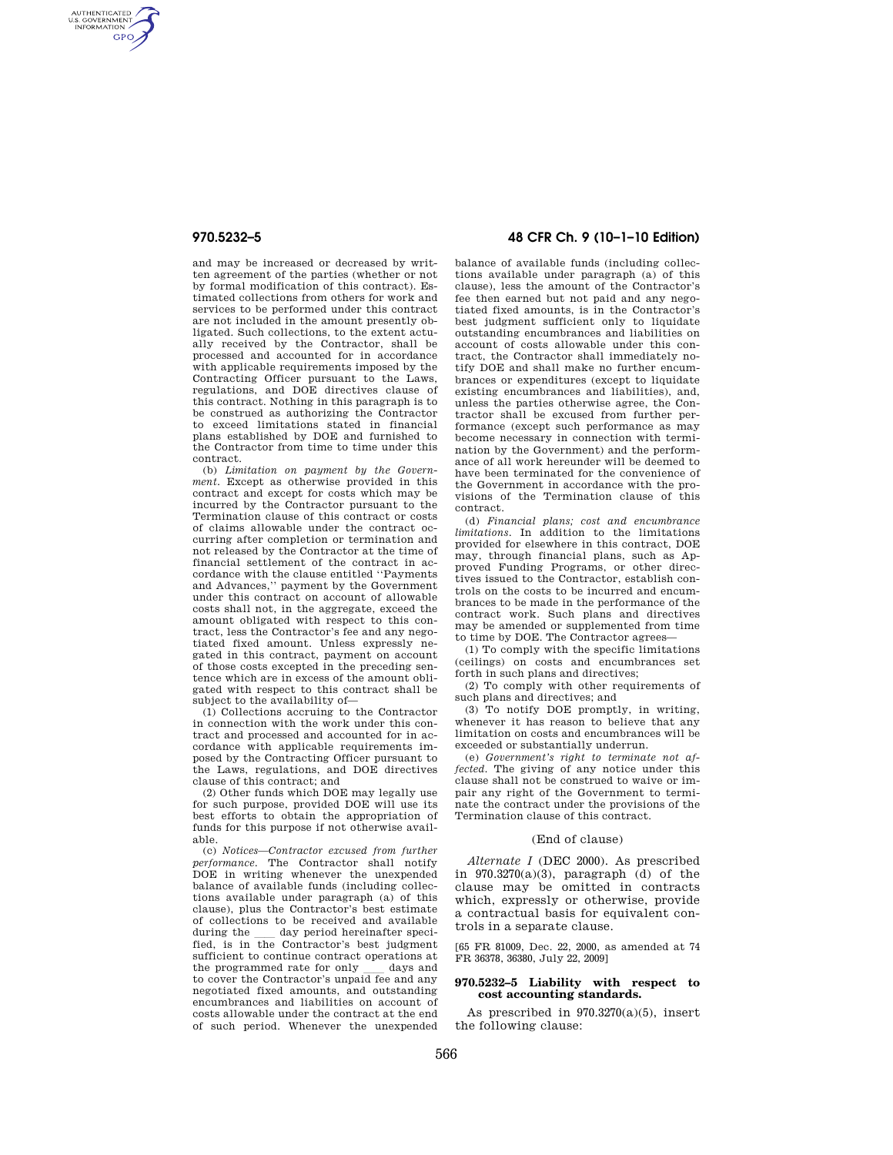AUTHENTICATED<br>U.S. GOVERNMENT<br>INFORMATION **GPO** 

> and may be increased or decreased by written agreement of the parties (whether or not by formal modification of this contract). Estimated collections from others for work and services to be performed under this contract are not included in the amount presently obligated. Such collections, to the extent actually received by the Contractor, shall be processed and accounted for in accordance with applicable requirements imposed by the Contracting Officer pursuant to the Laws, regulations, and DOE directives clause of this contract. Nothing in this paragraph is to be construed as authorizing the Contractor to exceed limitations stated in financial plans established by DOE and furnished to the Contractor from time to time under this contract.

> (b) *Limitation on payment by the Government.* Except as otherwise provided in this contract and except for costs which may be incurred by the Contractor pursuant to the Termination clause of this contract or costs of claims allowable under the contract occurring after completion or termination and not released by the Contractor at the time of financial settlement of the contract in accordance with the clause entitled ''Payments and Advances,'' payment by the Government under this contract on account of allowable costs shall not, in the aggregate, exceed the amount obligated with respect to this contract, less the Contractor's fee and any negotiated fixed amount. Unless expressly negated in this contract, payment on account of those costs excepted in the preceding sentence which are in excess of the amount obligated with respect to this contract shall be subject to the availability of—

> (1) Collections accruing to the Contractor in connection with the work under this contract and processed and accounted for in accordance with applicable requirements imposed by the Contracting Officer pursuant to the Laws, regulations, and DOE directives clause of this contract; and

> (2) Other funds which DOE may legally use for such purpose, provided DOE will use its best efforts to obtain the appropriation of funds for this purpose if not otherwise available.

> (c) *Notices—Contractor excused from further performance.* The Contractor shall notify DOE in writing whenever the unexpended balance of available funds (including collections available under paragraph (a) of this clause), plus the Contractor's best estimate of collections to be received and available<br>during the day period hereinafter speciduring the <u>sected</u> as period hereinafter specified, is in the Contractor's best judgment sufficient to continue contract operations at the programmed rate for only  $\quad$  days and to cover the Contractor's unpaid fee and any negotiated fixed amounts, and outstanding encumbrances and liabilities on account of costs allowable under the contract at the end of such period. Whenever the unexpended

# **970.5232–5 48 CFR Ch. 9 (10–1–10 Edition)**

balance of available funds (including collections available under paragraph (a) of this clause), less the amount of the Contractor's fee then earned but not paid and any negotiated fixed amounts, is in the Contractor's best judgment sufficient only to liquidate outstanding encumbrances and liabilities on account of costs allowable under this contract, the Contractor shall immediately notify DOE and shall make no further encumbrances or expenditures (except to liquidate existing encumbrances and liabilities), and, unless the parties otherwise agree, the Contractor shall be excused from further performance (except such performance as may become necessary in connection with termination by the Government) and the performance of all work hereunder will be deemed to have been terminated for the convenience of the Government in accordance with the provisions of the Termination clause of this contract.

(d) *Financial plans; cost and encumbrance limitations.* In addition to the limitations provided for elsewhere in this contract, DOE may, through financial plans, such as Approved Funding Programs, or other directives issued to the Contractor, establish controls on the costs to be incurred and encumbrances to be made in the performance of the contract work. Such plans and directives may be amended or supplemented from time to time by DOE. The Contractor agrees—

(1) To comply with the specific limitations (ceilings) on costs and encumbrances set forth in such plans and directives;

(2) To comply with other requirements of such plans and directives; and

(3) To notify DOE promptly, in writing, whenever it has reason to believe that any limitation on costs and encumbrances will be exceeded or substantially underrun.

(e) *Government's right to terminate not affected.* The giving of any notice under this clause shall not be construed to waive or impair any right of the Government to terminate the contract under the provisions of the Termination clause of this contract.

### (End of clause)

*Alternate I* (DEC 2000). As prescribed in 970.3270(a)(3), paragraph (d) of the clause may be omitted in contracts which, expressly or otherwise, provide a contractual basis for equivalent controls in a separate clause.

[65 FR 81009, Dec. 22, 2000, as amended at 74 FR 36378, 36380, July 22, 2009]

# **970.5232–5 Liability with respect to cost accounting standards.**

As prescribed in  $970.3270(a)(5)$ , insert the following clause: